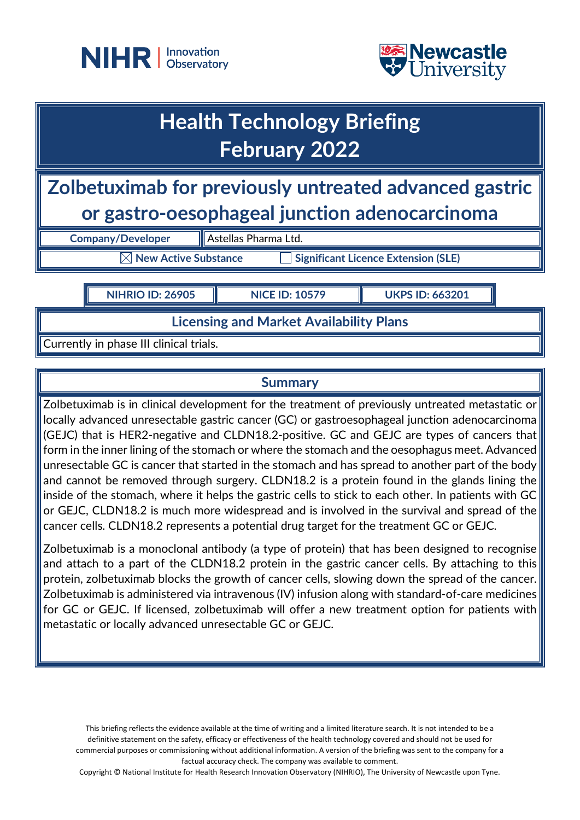



## **Health Technology Briefing February 2022**

**Zolbetuximab for previously untreated advanced gastric or gastro-oesophageal junction adenocarcinoma**

**Company/Developer Astellas Pharma Ltd.** 

**New Active Substance Interaction Significant Licence Extension (SLE)** 

**NIHRIO ID: 26905 NICE ID: 10579 UKPS ID: 663201**

**Licensing and Market Availability Plans**

Currently in phase III clinical trials.

## **Summary**

Zolbetuximab is in clinical development for the treatment of previously untreated metastatic or locally advanced unresectable gastric cancer (GC) or gastroesophageal junction adenocarcinoma (GEJC) that is HER2-negative and CLDN18.2-positive. GC and GEJC are types of cancers that form in the inner lining of the stomach or where the stomach and the oesophagus meet. Advanced unresectable GC is cancer that started in the stomach and has spread to another part of the body and cannot be removed through surgery. CLDN18.2 is a protein found in the glands lining the inside of the stomach, where it helps the gastric cells to stick to each other. In patients with GC or GEJC, CLDN18.2 is much more widespread and is involved in the survival and spread of the cancer cells. CLDN18.2 represents a potential drug target for the treatment GC or GEJC.

Zolbetuximab is a monoclonal antibody (a type of protein) that has been designed to recognise and attach to a part of the CLDN18.2 protein in the gastric cancer cells. By attaching to this protein, zolbetuximab blocks the growth of cancer cells, slowing down the spread of the cancer. Zolbetuximab is administered via intravenous (IV) infusion along with standard-of-care medicines for GC or GEJC. If licensed, zolbetuximab will offer a new treatment option for patients with metastatic or locally advanced unresectable GC or GEJC.

This briefing reflects the evidence available at the time of writing and a limited literature search. It is not intended to be a definitive statement on the safety, efficacy or effectiveness of the health technology covered and should not be used for commercial purposes or commissioning without additional information. A version of the briefing was sent to the company for a factual accuracy check. The company was available to comment.

Copyright © National Institute for Health Research Innovation Observatory (NIHRIO), The University of Newcastle upon Tyne.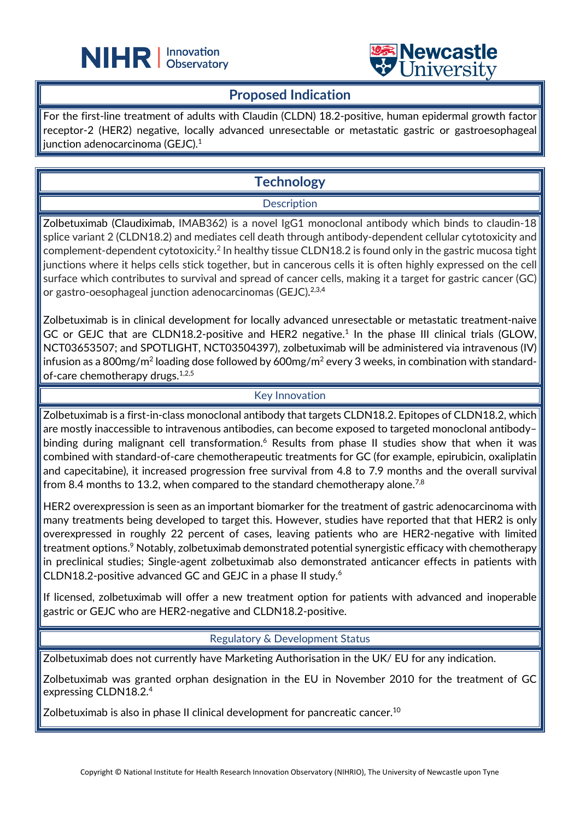



#### **Proposed Indication**

L

For the first-line treatment of adults with Claudin (CLDN) 18.2-positive, human epidermal growth factor receptor-2 (HER2) negative, locally advanced unresectable or metastatic gastric or gastroesophageal junction adenocarcinoma (GEJC). $^{\rm 1}$ 

## **Technology**

#### **Description**

Zolbetuximab (Claudiximab, IMAB362) is a novel IgG1 monoclonal antibody which binds to claudin-18 splice variant 2 (CLDN18.2) and mediates cell death through antibody-dependent cellular cytotoxicity and complement-dependent cytotoxicity.2 In healthy tissue CLDN18.2 is found only in the gastric mucosa tight junctions where it helps cells stick together, but in cancerous cells it is often highly expressed on the cell surface which contributes to survival and spread of cancer cells, making it a target for gastric cancer (GC) or gastro-oesophageal junction adenocarcinomas (GEJC).<sup>2,3,4</sup>

Zolbetuximab is in clinical development for locally advanced unresectable or metastatic treatment-naive GC or GEJC that are CLDN18.2-positive and HER2 negative.<sup>1</sup> In the phase III clinical trials (GLOW, NCT03653507; and SPOTLIGHT, NCT03504397), zolbetuximab will be administered via intravenous (IV) infusion as a 800mg/m<sup>2</sup> loading dose followed by 600mg/m<sup>2</sup> every 3 weeks, in combination with standardof-care chemotherapy drugs.<sup>1,2,5</sup>

#### Key Innovation

Zolbetuximab is a first-in-class monoclonal antibody that targets CLDN18.2. Epitopes of CLDN18.2, which are mostly inaccessible to intravenous antibodies, can become exposed to targeted monoclonal antibody– binding during malignant cell transformation.<sup>6</sup> Results from phase II studies show that when it was combined with standard-of-care chemotherapeutic treatments for GC (for example, epirubicin, oxaliplatin and capecitabine), it increased progression free survival from 4.8 to 7.9 months and the overall survival from 8.4 months to 13.2, when compared to the standard chemotherapy alone.<sup>7,8</sup>

HER2 overexpression is seen as an important biomarker for the treatment of gastric adenocarcinoma with many treatments being developed to target this. However, studies have reported that that HER2 is only overexpressed in roughly 22 percent of cases, leaving patients who are HER2-negative with limited treatment options. <sup>9</sup> Notably, zolbetuximab demonstrated potential synergistic efficacy with chemotherapy in preclinical studies; Single-agent zolbetuximab also demonstrated anticancer effects in patients with CLDN18.2-positive advanced GC and GEJC in a phase II study. 6

If licensed, zolbetuximab will offer a new treatment option for patients with advanced and inoperable gastric or GEJC who are HER2-negative and CLDN18.2-positive.

#### Regulatory & Development Status

Zolbetuximab does not currently have Marketing Authorisation in the UK/ EU for any indication.

Zolbetuximab was granted orphan designation in the EU in November 2010 for the treatment of GC expressing CLDN18.2.4

Zolbetuximab is also in phase II clinical development for pancreatic cancer.<sup>10</sup>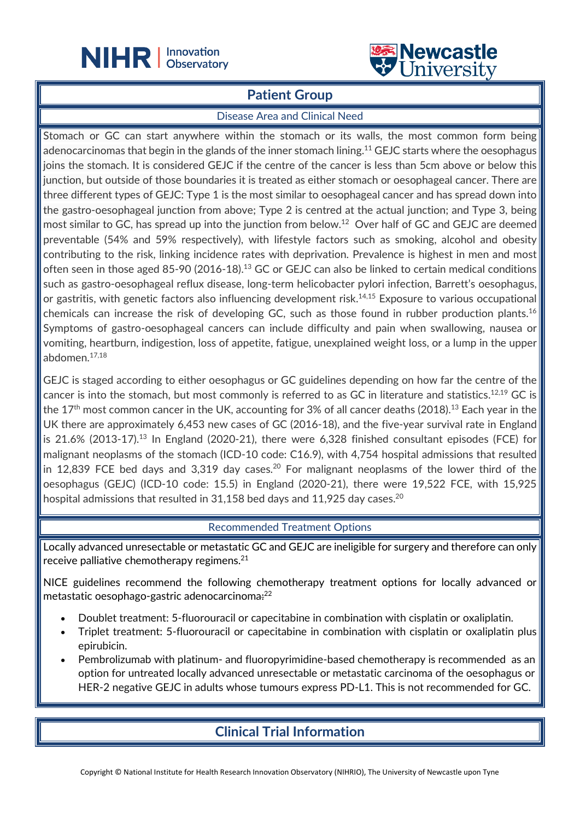

#### **Patient Group**

L

#### Disease Area and Clinical Need

Stomach or GC can start anywhere within the stomach or its walls, the most common form being adenocarcinomas that begin in the glands of the inner stomach lining.<sup>11</sup> GEJC starts where the oesophagus joins the stomach. It is considered GEJC if the centre of the cancer is less than 5cm above or below this junction, but outside of those boundaries it is treated as either stomach or oesophageal cancer. There are three different types of GEJC: Type 1 is the most similar to oesophageal cancer and has spread down into the gastro-oesophageal junction from above; Type 2 is centred at the actual junction; and Type 3, being most similar to GC, has spread up into the junction from below. <sup>12</sup> Over half of GC and GEJC are deemed preventable (54% and 59% respectively), with lifestyle factors such as smoking, alcohol and obesity contributing to the risk, linking incidence rates with deprivation. Prevalence is highest in men and most often seen in those aged 85-90 (2016-18). <sup>13</sup> GC or GEJC can also be linked to certain medical conditions such as gastro-oesophageal reflux disease, long-term helicobacter pylori infection, Barrett's oesophagus, or gastritis, with genetic factors also influencing development risk.<sup>14,15</sup> Exposure to various occupational chemicals can increase the risk of developing GC, such as those found in rubber production plants.<sup>16</sup> Symptoms of gastro-oesophageal cancers can include difficulty and pain when swallowing, nausea or vomiting, heartburn, indigestion, loss of appetite, fatigue, unexplained weight loss, or a lump in the upper abdomen.17,18

GEJC is staged according to either oesophagus or GC guidelines depending on how far the centre of the cancer is into the stomach, but most commonly is referred to as GC in literature and statistics.<sup>12,19</sup> GC is the 17<sup>th</sup> most common cancer in the UK, accounting for 3% of all cancer deaths (2018).<sup>13</sup> Each year in the UK there are approximately 6,453 new cases of GC (2016-18), and the five-year survival rate in England is 21.6% (2013-17).<sup>13</sup> In England (2020-21), there were 6,328 finished consultant episodes (FCE) for malignant neoplasms of the stomach (ICD-10 code: C16.9), with 4,754 hospital admissions that resulted in 12,839 FCE bed days and 3,319 day cases.<sup>20</sup> For malignant neoplasms of the lower third of the oesophagus (GEJC) (ICD-10 code: 15.5) in England (2020-21), there were 19,522 FCE, with 15,925 hospital admissions that resulted in 31,158 bed days and 11,925 day cases.<sup>20</sup>

#### Recommended Treatment Options

Locally advanced unresectable or metastatic GC and GEJC are ineligible for surgery and therefore can only receive palliative chemotherapy regimens.<sup>21</sup>

NICE guidelines recommend the following chemotherapy treatment options for locally advanced or metastatic oesophago-gastric adenocarcinoma<del>:</del><sup>22</sup>

- Doublet treatment: 5-fluorouracil or capecitabine in combination with cisplatin or oxaliplatin.
- Triplet treatment: 5-fluorouracil or capecitabine in combination with cisplatin or oxaliplatin plus epirubicin.
- Pembrolizumab with platinum- and fluoropyrimidine-based chemotherapy is recommended as an option for untreated locally advanced unresectable or metastatic carcinoma of the oesophagus or HER-2 negative GEJC in adults whose tumours express PD-L1. This is not recommended for GC.

## **Clinical Trial Information**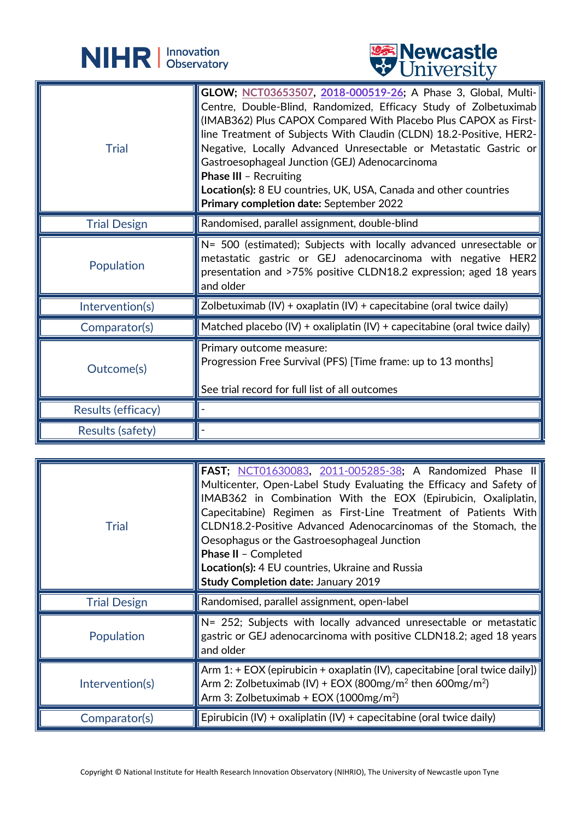



|                     | <b>A</b> OTTLACTOIOA                                                                                                                                                                                                                                                                                                                                                                                                                                                                                                                             |
|---------------------|--------------------------------------------------------------------------------------------------------------------------------------------------------------------------------------------------------------------------------------------------------------------------------------------------------------------------------------------------------------------------------------------------------------------------------------------------------------------------------------------------------------------------------------------------|
| <b>Trial</b>        | GLOW; NCT03653507, 2018-000519-26; A Phase 3, Global, Multi-<br>Centre, Double-Blind, Randomized, Efficacy Study of Zolbetuximab<br>(IMAB362) Plus CAPOX Compared With Placebo Plus CAPOX as First-<br>line Treatment of Subjects With Claudin (CLDN) 18.2-Positive, HER2-<br>Negative, Locally Advanced Unresectable or Metastatic Gastric or<br>Gastroesophageal Junction (GEJ) Adenocarcinoma<br><b>Phase III - Recruiting</b><br>Location(s): 8 EU countries, UK, USA, Canada and other countries<br>Primary completion date: September 2022 |
| <b>Trial Design</b> | Randomised, parallel assignment, double-blind                                                                                                                                                                                                                                                                                                                                                                                                                                                                                                    |
| Population          | $N=$ 500 (estimated); Subjects with locally advanced unresectable or<br>metastatic gastric or GEJ adenocarcinoma with negative HER2<br>presentation and >75% positive CLDN18.2 expression; aged 18 years<br>and older                                                                                                                                                                                                                                                                                                                            |
| Intervention(s)     | Zolbetuximab $(IV)$ + oxaplatin $(IV)$ + capecitabine (oral twice daily)                                                                                                                                                                                                                                                                                                                                                                                                                                                                         |
| Comparator(s)       | Matched placebo (IV) + oxaliplatin (IV) + capecitabine (oral twice daily)                                                                                                                                                                                                                                                                                                                                                                                                                                                                        |
| Outcome(s)          | Primary outcome measure:<br>Progression Free Survival (PFS) [Time frame: up to 13 months]<br>See trial record for full list of all outcomes                                                                                                                                                                                                                                                                                                                                                                                                      |
| Results (efficacy)  |                                                                                                                                                                                                                                                                                                                                                                                                                                                                                                                                                  |
| Results (safety)    |                                                                                                                                                                                                                                                                                                                                                                                                                                                                                                                                                  |

| <b>Trial</b>        | <b>FAST</b> ; NCT01630083, 2011-005285-38; A Randomized Phase II<br>Multicenter, Open-Label Study Evaluating the Efficacy and Safety of<br>IMAB362 in Combination With the EOX (Epirubicin, Oxaliplatin,<br>Capecitabine) Regimen as First-Line Treatment of Patients With<br>CLDN18.2-Positive Advanced Adenocarcinomas of the Stomach, the<br>Oesophagus or the Gastroesophageal Junction<br>Phase II - Completed<br>Location(s): 4 EU countries, Ukraine and Russia<br><b>Study Completion date: January 2019</b> |
|---------------------|----------------------------------------------------------------------------------------------------------------------------------------------------------------------------------------------------------------------------------------------------------------------------------------------------------------------------------------------------------------------------------------------------------------------------------------------------------------------------------------------------------------------|
| <b>Trial Design</b> | Randomised, parallel assignment, open-label                                                                                                                                                                                                                                                                                                                                                                                                                                                                          |
| Population          | $N = 252$ ; Subjects with locally advanced unresectable or metastatic<br>gastric or GEJ adenocarcinoma with positive CLDN18.2; aged 18 years<br>and older                                                                                                                                                                                                                                                                                                                                                            |
|                     |                                                                                                                                                                                                                                                                                                                                                                                                                                                                                                                      |
| Intervention(s)     | Arm 1: + EOX (epirubicin + oxaplatin (IV), capecitabine [oral twice daily])<br>Arm 2: Zolbetuximab (IV) + EOX (800mg/m <sup>2</sup> then 600mg/m <sup>2</sup> )<br>Arm 3: Zolbetuximab + EOX (1000mg/m <sup>2</sup> )                                                                                                                                                                                                                                                                                                |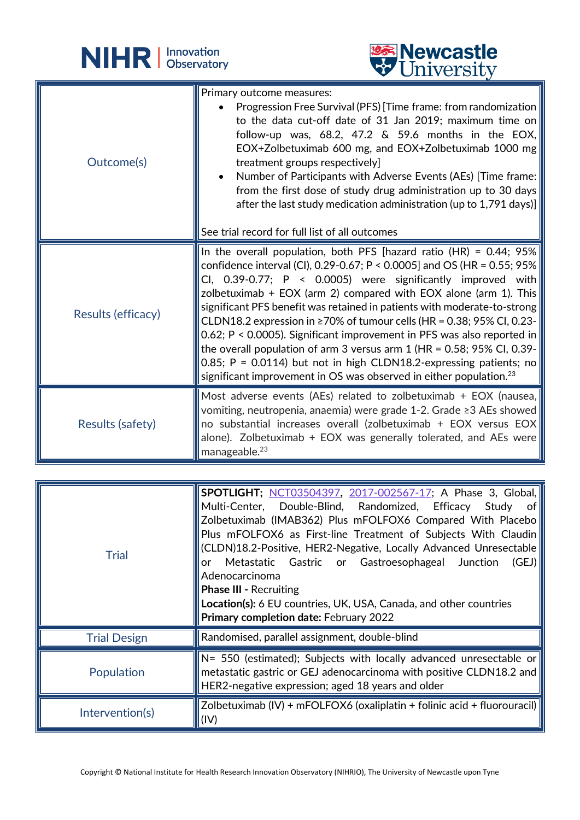



| Outcome(s)         | Primary outcome measures:<br>Progression Free Survival (PFS) [Time frame: from randomization   <br>to the data cut-off date of 31 Jan 2019; maximum time on<br>follow-up was, 68.2, 47.2 & 59.6 months in the EOX,<br>EOX+Zolbetuximab 600 mg, and EOX+Zolbetuximab 1000 mg<br>treatment groups respectively]<br>Number of Participants with Adverse Events (AEs) [Time frame:   <br>from the first dose of study drug administration up to 30 days<br>after the last study medication administration (up to 1,791 days)]<br>See trial record for full list of all outcomes                                                                                                                                                                                     |
|--------------------|-----------------------------------------------------------------------------------------------------------------------------------------------------------------------------------------------------------------------------------------------------------------------------------------------------------------------------------------------------------------------------------------------------------------------------------------------------------------------------------------------------------------------------------------------------------------------------------------------------------------------------------------------------------------------------------------------------------------------------------------------------------------|
| Results (efficacy) | In the overall population, both PFS [hazard ratio (HR) = 0.44; $95\%$  <br>confidence interval (CI), 0.29-0.67; P < 0.0005] and OS (HR = 0.55; 95%<br>CI, 0.39-0.77; $P \lt 0.0005$ were significantly improved with<br>zolbetuximab + EOX (arm 2) compared with EOX alone (arm 1). This<br>significant PFS benefit was retained in patients with moderate-to-strong<br>CLDN18.2 expression in $\geq$ 70% of tumour cells (HR = 0.38; 95% CI, 0.23-<br>0.62; P < 0.0005). Significant improvement in PFS was also reported in<br>the overall population of arm 3 versus arm 1 (HR = 0.58; 95% CI, 0.39-<br>0.85; P = 0.0114) but not in high CLDN18.2-expressing patients; no<br>significant improvement in OS was observed in either population. <sup>23</sup> |
| Results (safety)   | Most adverse events (AEs) related to zolbetuximab + EOX (nausea,<br>vomiting, neutropenia, anaemia) were grade 1-2. Grade $\geq$ 3 AEs showed<br>no substantial increases overall (zolbetuximab + EOX versus EOX<br>alone). Zolbetuximab + EOX was generally tolerated, and AEs were<br>manageable. <sup>23</sup>                                                                                                                                                                                                                                                                                                                                                                                                                                               |

L

| Trial               | <b>SPOTLIGHT; NCT03504397, 2017-002567-17; A Phase 3, Global,</b><br>Multi-Center, Double-Blind, Randomized, Efficacy Study of<br>Zolbetuximab (IMAB362) Plus mFOLFOX6 Compared With Placebo<br>Plus mFOLFOX6 as First-line Treatment of Subjects With Claudin<br>(CLDN)18.2-Positive, HER2-Negative, Locally Advanced Unresectable<br>Metastatic Gastric or Gastroesophageal Junction<br>(GEJ)<br>or<br>Adenocarcinoma<br><b>Phase III - Recruiting</b><br><b>Location(s):</b> 6 EU countries, UK, USA, Canada, and other countries<br>Primary completion date: February 2022 |
|---------------------|--------------------------------------------------------------------------------------------------------------------------------------------------------------------------------------------------------------------------------------------------------------------------------------------------------------------------------------------------------------------------------------------------------------------------------------------------------------------------------------------------------------------------------------------------------------------------------|
| <b>Trial Design</b> | Randomised, parallel assignment, double-blind                                                                                                                                                                                                                                                                                                                                                                                                                                                                                                                                  |
| Population          | N= 550 (estimated); Subjects with locally advanced unresectable or<br>metastatic gastric or GEJ adenocarcinoma with positive CLDN18.2 and<br>HER2-negative expression; aged 18 years and older                                                                                                                                                                                                                                                                                                                                                                                 |
| Intervention(s)     | Zolbetuximab (IV) + mFOLFOX6 (oxaliplatin + folinic acid + fluorouracil)<br>(IV)                                                                                                                                                                                                                                                                                                                                                                                                                                                                                               |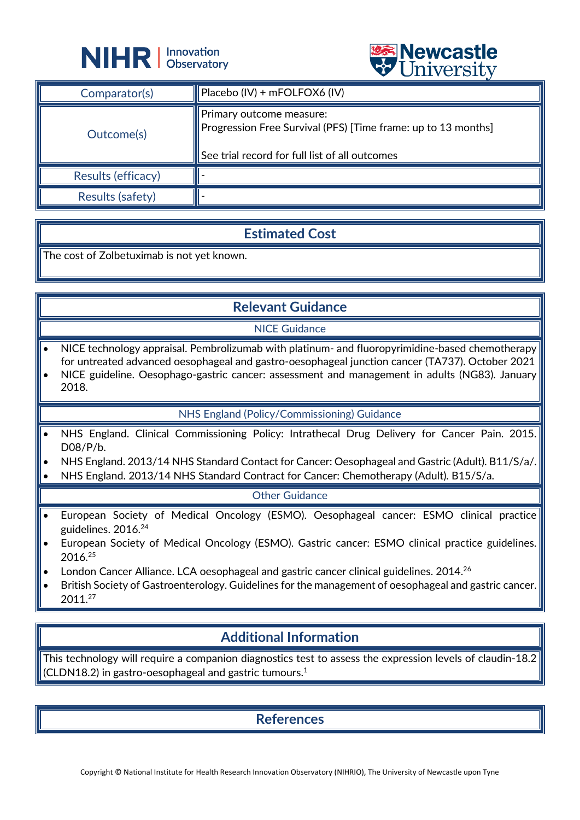



|                    | $\triangledown$ OIIIV CLOIU                                                                                                                 |
|--------------------|---------------------------------------------------------------------------------------------------------------------------------------------|
| Comparator(s)      | $\blacksquare$ Placebo (IV) + mFOLFOX6 (IV)                                                                                                 |
| Outcome(s)         | Primary outcome measure:<br>Progression Free Survival (PFS) [Time frame: up to 13 months]<br>See trial record for full list of all outcomes |
| Results (efficacy) |                                                                                                                                             |
| Results (safety)   |                                                                                                                                             |

#### **Estimated Cost**

The cost of Zolbetuximab is not yet known.

## **Relevant Guidance**

NICE Guidance

- NICE technology appraisal. Pembrolizumab with platinum- and fluoropyrimidine-based chemotherapy for untreated advanced oesophageal and gastro-oesophageal junction cancer (TA737). October 2021
- NICE guideline. Oesophago-gastric cancer: assessment and management in adults (NG83). January 2018.

#### NHS England (Policy/Commissioning) Guidance

- NHS England. Clinical Commissioning Policy: Intrathecal Drug Delivery for Cancer Pain. 2015. D08/P/b.
- NHS England. 2013/14 NHS Standard Contact for Cancer: Oesophageal and Gastric (Adult). B11/S/a/.
- NHS England. 2013/14 NHS Standard Contract for Cancer: Chemotherapy (Adult). B15/S/a.

#### Other Guidance

- European Society of Medical Oncology (ESMO). Oesophageal cancer: ESMO clinical practice guidelines. 2016.24
- European Society of Medical Oncology (ESMO). Gastric cancer: ESMO clinical practice guidelines. 2016.25
- London Cancer Alliance. LCA oesophageal and gastric cancer clinical guidelines. 2014.<sup>26</sup>
- British Society of Gastroenterology. Guidelines for the management of oesophageal and gastric cancer. 2011.27

### **Additional Information**

This technology will require a companion diagnostics test to assess the expression levels of claudin-18.2 (CLDN18.2) in gastro-oesophageal and gastric tumours. 1

**References**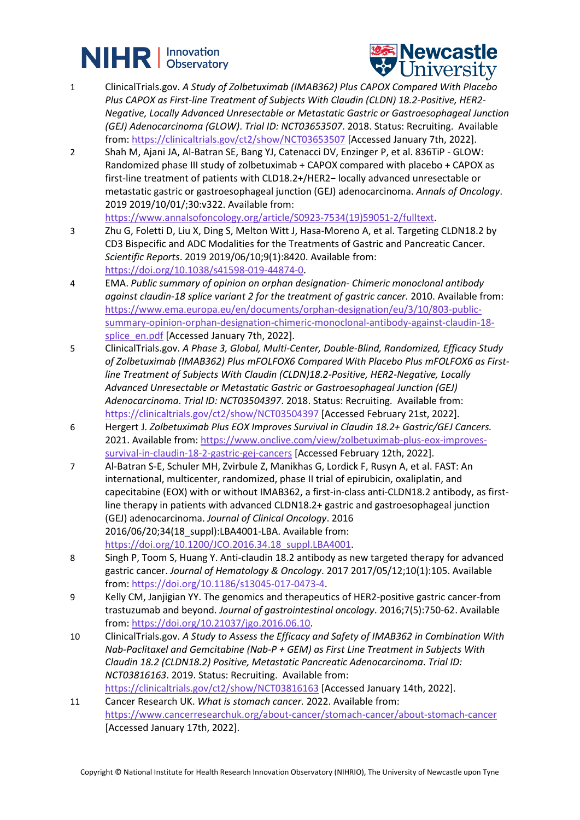# **NIHR** | Innovation



- 1 ClinicalTrials.gov. *A Study of Zolbetuximab (IMAB362) Plus CAPOX Compared With Placebo Plus CAPOX as First-line Treatment of Subjects With Claudin (CLDN) 18.2-Positive, HER2- Negative, Locally Advanced Unresectable or Metastatic Gastric or Gastroesophageal Junction (GEJ) Adenocarcinoma (GLOW)*. *Trial ID: NCT03653507*. 2018. Status: Recruiting. Available from:<https://clinicaltrials.gov/ct2/show/NCT03653507> [Accessed January 7th, 2022].
- 2 Shah M, Ajani JA, Al-Batran SE, Bang YJ, Catenacci DV, Enzinger P, et al. 836TiP GLOW: Randomized phase III study of zolbetuximab + CAPOX compared with placebo + CAPOX as first-line treatment of patients with CLD18.2+/HER2− locally advanced unresectable or metastatic gastric or gastroesophageal junction (GEJ) adenocarcinoma. *Annals of Oncology*. 2019 2019/10/01/;30:v322. Available from:

[https://www.annalsofoncology.org/article/S0923-7534\(19\)59051-2/fulltext.](https://www.annalsofoncology.org/article/S0923-7534(19)59051-2/fulltext)

- 3 Zhu G, Foletti D, Liu X, Ding S, Melton Witt J, Hasa-Moreno A, et al. Targeting CLDN18.2 by CD3 Bispecific and ADC Modalities for the Treatments of Gastric and Pancreatic Cancer. *Scientific Reports*. 2019 2019/06/10;9(1):8420. Available from: [https://doi.org/10.1038/s41598-019-44874-0.](https://doi.org/10.1038/s41598-019-44874-0)
- 4 EMA. *Public summary of opinion on orphan designation- Chimeric monoclonal antibody against claudin-18 splice variant 2 for the treatment of gastric cancer.* 2010. Available from: [https://www.ema.europa.eu/en/documents/orphan-designation/eu/3/10/803-public](https://www.ema.europa.eu/en/documents/orphan-designation/eu/3/10/803-public-summary-opinion-orphan-designation-chimeric-monoclonal-antibody-against-claudin-18-splice_en.pdf)[summary-opinion-orphan-designation-chimeric-monoclonal-antibody-against-claudin-18](https://www.ema.europa.eu/en/documents/orphan-designation/eu/3/10/803-public-summary-opinion-orphan-designation-chimeric-monoclonal-antibody-against-claudin-18-splice_en.pdf) [splice\\_en.pdf](https://www.ema.europa.eu/en/documents/orphan-designation/eu/3/10/803-public-summary-opinion-orphan-designation-chimeric-monoclonal-antibody-against-claudin-18-splice_en.pdf) [Accessed January 7th, 2022].
- 5 ClinicalTrials.gov. *A Phase 3, Global, Multi-Center, Double-Blind, Randomized, Efficacy Study of Zolbetuximab (IMAB362) Plus mFOLFOX6 Compared With Placebo Plus mFOLFOX6 as Firstline Treatment of Subjects With Claudin (CLDN)18.2-Positive, HER2-Negative, Locally Advanced Unresectable or Metastatic Gastric or Gastroesophageal Junction (GEJ) Adenocarcinoma*. *Trial ID: NCT03504397*. 2018. Status: Recruiting. Available from: <https://clinicaltrials.gov/ct2/show/NCT03504397> [Accessed February 21st, 2022].
- 6 Hergert J. *Zolbetuximab Plus EOX Improves Survival in Claudin 18.2+ Gastric/GEJ Cancers.* 2021. Available from: [https://www.onclive.com/view/zolbetuximab-plus-eox-improves](https://www.onclive.com/view/zolbetuximab-plus-eox-improves-survival-in-claudin-18-2-gastric-gej-cancers)[survival-in-claudin-18-2-gastric-gej-cancers](https://www.onclive.com/view/zolbetuximab-plus-eox-improves-survival-in-claudin-18-2-gastric-gej-cancers) [Accessed February 12th, 2022].
- 7 Al-Batran S-E, Schuler MH, Zvirbule Z, Manikhas G, Lordick F, Rusyn A, et al. FAST: An international, multicenter, randomized, phase II trial of epirubicin, oxaliplatin, and capecitabine (EOX) with or without IMAB362, a first-in-class anti-CLDN18.2 antibody, as firstline therapy in patients with advanced CLDN18.2+ gastric and gastroesophageal junction (GEJ) adenocarcinoma. *Journal of Clinical Oncology*. 2016 2016/06/20;34(18\_suppl):LBA4001-LBA. Available from: [https://doi.org/10.1200/JCO.2016.34.18\\_suppl.LBA4001.](https://doi.org/10.1200/JCO.2016.34.18_suppl.LBA4001)
- 8 Singh P, Toom S, Huang Y. Anti-claudin 18.2 antibody as new targeted therapy for advanced gastric cancer. *Journal of Hematology & Oncology*. 2017 2017/05/12;10(1):105. Available from: [https://doi.org/10.1186/s13045-017-0473-4.](https://doi.org/10.1186/s13045-017-0473-4)
- 9 Kelly CM, Janjigian YY. The genomics and therapeutics of HER2-positive gastric cancer-from trastuzumab and beyond. *Journal of gastrointestinal oncology*. 2016;7(5):750-62. Available from: [https://doi.org/10.21037/jgo.2016.06.10.](https://doi.org/10.21037/jgo.2016.06.10)
- 10 ClinicalTrials.gov. *A Study to Assess the Efficacy and Safety of IMAB362 in Combination With Nab-Paclitaxel and Gemcitabine (Nab-P + GEM) as First Line Treatment in Subjects With Claudin 18.2 (CLDN18.2) Positive, Metastatic Pancreatic Adenocarcinoma*. *Trial ID: NCT03816163*. 2019. Status: Recruiting. Available from: <https://clinicaltrials.gov/ct2/show/NCT03816163> [Accessed January 14th, 2022].
- 11 Cancer Research UK. *What is stomach cancer.* 2022. Available from: <https://www.cancerresearchuk.org/about-cancer/stomach-cancer/about-stomach-cancer> [Accessed January 17th, 2022].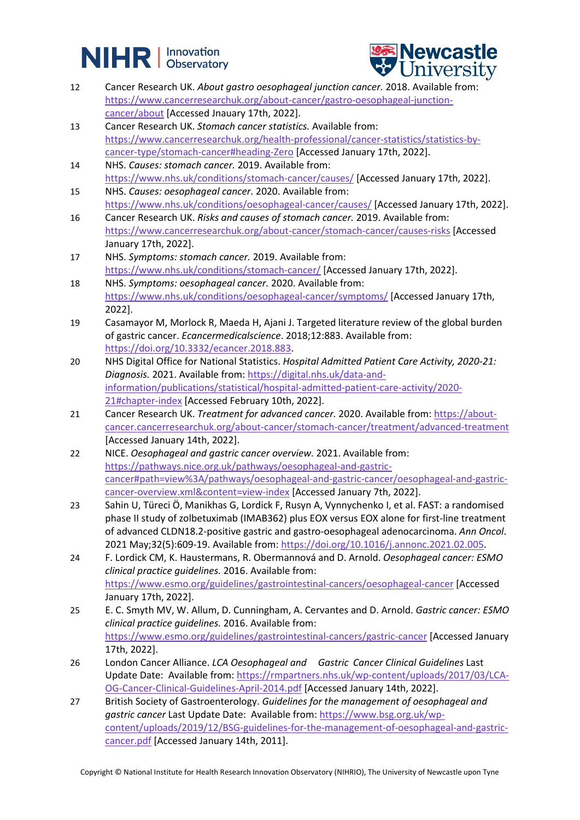



- 12 Cancer Research UK. *About gastro oesophageal junction cancer.* 2018. Available from: [https://www.cancerresearchuk.org/about-cancer/gastro-oesophageal-junction](https://www.cancerresearchuk.org/about-cancer/gastro-oesophageal-junction-cancer/about)[cancer/about](https://www.cancerresearchuk.org/about-cancer/gastro-oesophageal-junction-cancer/about) [Accessed Jnauary 17th, 2022].
- 13 Cancer Research UK. *Stomach cancer statistics.* Available from: [https://www.cancerresearchuk.org/health-professional/cancer-statistics/statistics-by](https://www.cancerresearchuk.org/health-professional/cancer-statistics/statistics-by-cancer-type/stomach-cancer#heading-Zero)[cancer-type/stomach-cancer#heading-Zero](https://www.cancerresearchuk.org/health-professional/cancer-statistics/statistics-by-cancer-type/stomach-cancer#heading-Zero) [Accessed January 17th, 2022].
- 14 NHS. *Causes: stomach cancer.* 2019. Available from: <https://www.nhs.uk/conditions/stomach-cancer/causes/> [Accessed January 17th, 2022].
- 15 NHS. *Causes: oesophageal cancer.* 2020. Available from: <https://www.nhs.uk/conditions/oesophageal-cancer/causes/> [Accessed January 17th, 2022].
- 16 Cancer Research UK. *Risks and causes of stomach cancer.* 2019. Available from: <https://www.cancerresearchuk.org/about-cancer/stomach-cancer/causes-risks> [Accessed January 17th, 2022].
- 17 NHS. *Symptoms: stomach cancer.* 2019. Available from: <https://www.nhs.uk/conditions/stomach-cancer/> [Accessed January 17th, 2022].
- 18 NHS. *Symptoms: oesophageal cancer.* 2020. Available from: <https://www.nhs.uk/conditions/oesophageal-cancer/symptoms/> [Accessed January 17th, 2022].
- 19 Casamayor M, Morlock R, Maeda H, Ajani J. Targeted literature review of the global burden of gastric cancer. *Ecancermedicalscience*. 2018;12:883. Available from: [https://doi.org/10.3332/ecancer.2018.883.](https://doi.org/10.3332/ecancer.2018.883)
- 20 NHS Digital Office for National Statistics. *Hospital Admitted Patient Care Activity, 2020-21: Diagnosis.* 2021. Available from: [https://digital.nhs.uk/data-and](https://digital.nhs.uk/data-and-information/publications/statistical/hospital-admitted-patient-care-activity/2020-21#chapter-index)[information/publications/statistical/hospital-admitted-patient-care-activity/2020-](https://digital.nhs.uk/data-and-information/publications/statistical/hospital-admitted-patient-care-activity/2020-21#chapter-index) [21#chapter-index](https://digital.nhs.uk/data-and-information/publications/statistical/hospital-admitted-patient-care-activity/2020-21#chapter-index) [Accessed February 10th, 2022].
- 21 Cancer Research UK. *Treatment for advanced cancer.* 2020. Available from[: https://about](https://about-cancer.cancerresearchuk.org/about-cancer/stomach-cancer/treatment/advanced-treatment)[cancer.cancerresearchuk.org/about-cancer/stomach-cancer/treatment/advanced-treatment](https://about-cancer.cancerresearchuk.org/about-cancer/stomach-cancer/treatment/advanced-treatment) [Accessed January 14th, 2022].
- 22 NICE. *Oesophageal and gastric cancer overview.* 2021. Available from: [https://pathways.nice.org.uk/pathways/oesophageal-and-gastric](https://pathways.nice.org.uk/pathways/oesophageal-and-gastric-cancer#path=view%3A/pathways/oesophageal-and-gastric-cancer/oesophageal-and-gastric-cancer-overview.xml&content=view-index)[cancer#path=view%3A/pathways/oesophageal-and-gastric-cancer/oesophageal-and-gastric](https://pathways.nice.org.uk/pathways/oesophageal-and-gastric-cancer#path=view%3A/pathways/oesophageal-and-gastric-cancer/oesophageal-and-gastric-cancer-overview.xml&content=view-index)[cancer-overview.xml&content=view-index](https://pathways.nice.org.uk/pathways/oesophageal-and-gastric-cancer#path=view%3A/pathways/oesophageal-and-gastric-cancer/oesophageal-and-gastric-cancer-overview.xml&content=view-index) [Accessed January 7th, 2022].
- 23 Sahin U, Türeci Ö, Manikhas G, Lordick F, Rusyn A, Vynnychenko I, et al. FAST: a randomised phase II study of zolbetuximab (IMAB362) plus EOX versus EOX alone for first-line treatment of advanced CLDN18.2-positive gastric and gastro-oesophageal adenocarcinoma. *Ann Oncol*. 2021 May;32(5):609-19. Available from[: https://doi.org/10.1016/j.annonc.2021.02.005.](https://doi.org/10.1016/j.annonc.2021.02.005)
- 24 F. Lordick CM, K. Haustermans, R. Obermannová and D. Arnold. *Oesophageal cancer: ESMO clinical practice guidelines.* 2016. Available from: <https://www.esmo.org/guidelines/gastrointestinal-cancers/oesophageal-cancer> [Accessed January 17th, 2022].
- 25 E. C. Smyth MV, W. Allum, D. Cunningham, A. Cervantes and D. Arnold. *Gastric cancer: ESMO clinical practice guidelines.* 2016. Available from: <https://www.esmo.org/guidelines/gastrointestinal-cancers/gastric-cancer> [Accessed January 17th, 2022].
- 26 London Cancer Alliance. *LCA Oesophageal and Gastric Cancer Clinical Guidelines* Last Update Date: Available from: [https://rmpartners.nhs.uk/wp-content/uploads/2017/03/LCA-](https://rmpartners.nhs.uk/wp-content/uploads/2017/03/LCA-OG-Cancer-Clinical-Guidelines-April-2014.pdf)[OG-Cancer-Clinical-Guidelines-April-2014.pdf](https://rmpartners.nhs.uk/wp-content/uploads/2017/03/LCA-OG-Cancer-Clinical-Guidelines-April-2014.pdf) [Accessed January 14th, 2022].
- 27 British Society of Gastroenterology. *Guidelines for the management of oesophageal and gastric cancer* Last Update Date: Available from: [https://www.bsg.org.uk/wp](https://www.bsg.org.uk/wp-content/uploads/2019/12/BSG-guidelines-for-the-management-of-oesophageal-and-gastric-cancer.pdf)[content/uploads/2019/12/BSG-guidelines-for-the-management-of-oesophageal-and-gastric](https://www.bsg.org.uk/wp-content/uploads/2019/12/BSG-guidelines-for-the-management-of-oesophageal-and-gastric-cancer.pdf)[cancer.pdf](https://www.bsg.org.uk/wp-content/uploads/2019/12/BSG-guidelines-for-the-management-of-oesophageal-and-gastric-cancer.pdf) [Accessed January 14th, 2011].